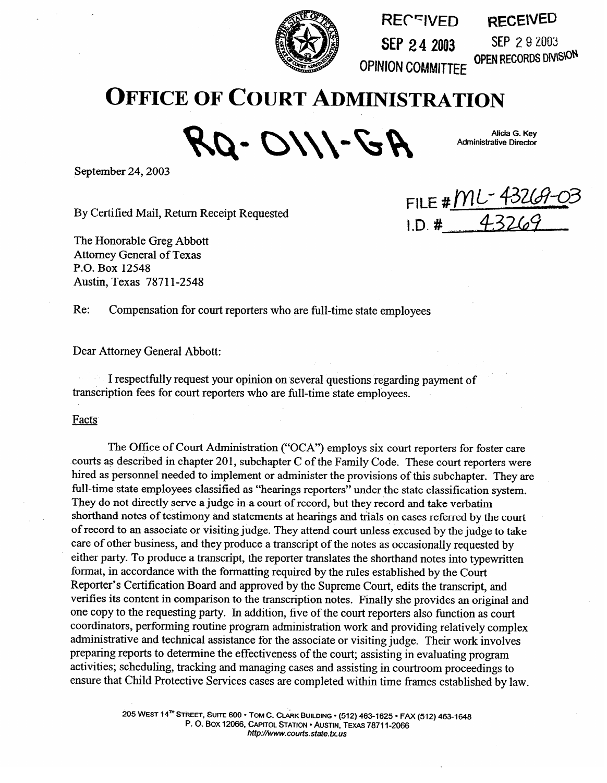

**RECFIVED SEP 2.4 2003 SEP 2.9 2003**<br>**OPEN RECORDS DIVISION RECE\VEB** 

SEP 2 9 2003

**Alicia G. Key Administrative Director** 

**OPINION COMMITTEE** 

## **OFFICE OF COURT ADMINISTRATION**

RQ-OIII-GR

September 24,2003

By Certified Mail, Return Receipt Requested

The Honorable Greg Abbott Attorney General of Texas  $P.0.20412540$  $\frac{1}{1000}$   $\frac{1}{1000}$ 

FILE # ML - 43269-0<br>1.D. # 43269

Re: Compensation for court reporters who are full-time state employees

Dear Attorney General Abbott:

I request your opinion on several questions regarding payment of transcription fees for court reporters who are full-time state employees.

Facts Facts

The Office of Court Administration ("OCA") employs six court reporters for foster care<br>courts as described in chapter 201, subchapter C of the Family Code. These court reporters were hired as personnel needed to implement or administer the provisions of this subchapter. They are full-time state employees classified as "hearings reporters" under the state classification system. They do not directly serve a judge in a court of record, but they record and take verbatim. shorthand notes of testimony and statements at hearings and trials on cases referred by the court of record to an associate or visiting judge. They attend court unless excused by the judge to take care of other business, and they produce a transcript of the notes as occasionally requested by either party. To produce a transcript, the reporter translates the shorthand notes into typewritten format, in accordance with the formatting required by the rules established by the Court Reporter's Certification Board and approved by the Supreme Court, edits the transcript, and verifies its content in comparison to the transcription notes. Finally she provides an original and one copy to the requesting party. In addition, five of the court reporters also function as court coordinators, performing routine program administration work and providing relatively complex administrative and technical assistance for the associate or visiting judge. Their work involves preparing reports to determine the effectiveness of the court; assisting in evaluating program activities; scheduling, tracking and managing cases and assisting in courtroom proceedings to ensure that Child Protective Services cases are completed within time frames established by law.

> 205 WEST 14<sup>TH</sup> STREET, SUITE 600 · TOM C. CLARK BUILDING · (512) 463-1625 · FAX (512) 463-1648 **205 BOX 12066, CAPITOL STATION · AUSTIN, TEXAS 78711-2066 http://www.courts.state.tx.us**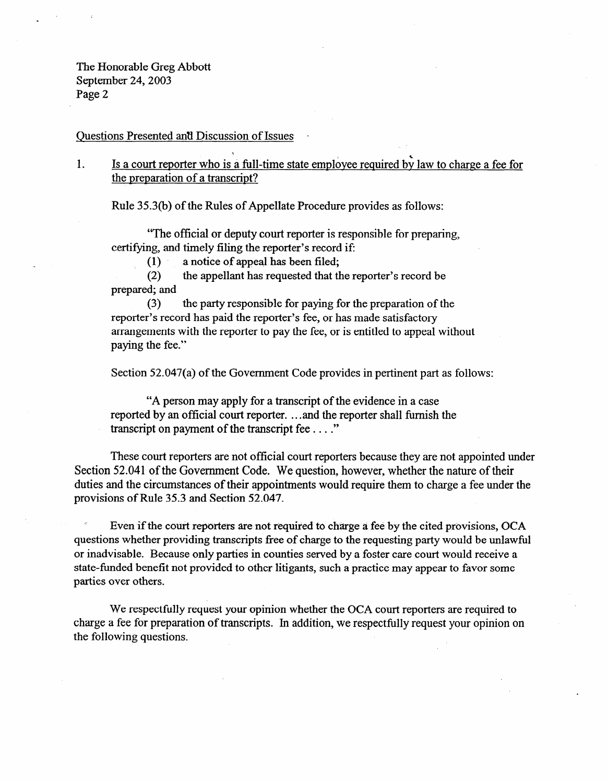The Honorable Greg Abbott September 24,2003 Page 2

Questions Presented and Discussion of Issues

1. Is a court reporter who is a full-time state employee required by law to charge a fee for the preparation of a transcript?

Rule 35.3(b) of the Rules of Appellate Procedure provides as follows:

"The official or deputy court reporter is responsible for preparing, certifying, and timely filing the reporter's record if:

(1) a notice of appeal has been filed;<br>(2) the appellant has requested that the

the appellant has requested that the reporter's record be prepared; and

(3) the party responsible for paying for the preparation of the reporter's record has paid the reporter's fee, or has made satisfactory arrangements with the reporter to pay the fee, or is entitled to appeal without paying the fee."

Section 52.047(a) of the Government Code provides in pertinent part as follows:

"A person may apply for a transcript of the evidence in a case reported by an official court reporter. . . and the reporter shall furnish the transcript on payment of the transcript fee . . . ."

These court reporters are not official court reporters because they are not appointed under Section 52.041 of the Government Code. We question, however, whether the nature of their duties and the circumstances of their appointments would require them to charge a fee under the provisions of Rule 35.3 and Section 52.047.

Even if the court reporters are not required to charge a fee by the cited provisions, OCA questions whether providing transcripts free of charge to the requesting party would be unlawful or inadvisable. Because only parties in counties served by a foster care court would receive a state-funded benefit not provided to other litigants, such a practice may appear to favor some parties over others.

We respectfully request your opinion whether the OCA court reporters are required to charge a fee for preparation of transcripts. In addition, we respectfully request your opinion on the following questions.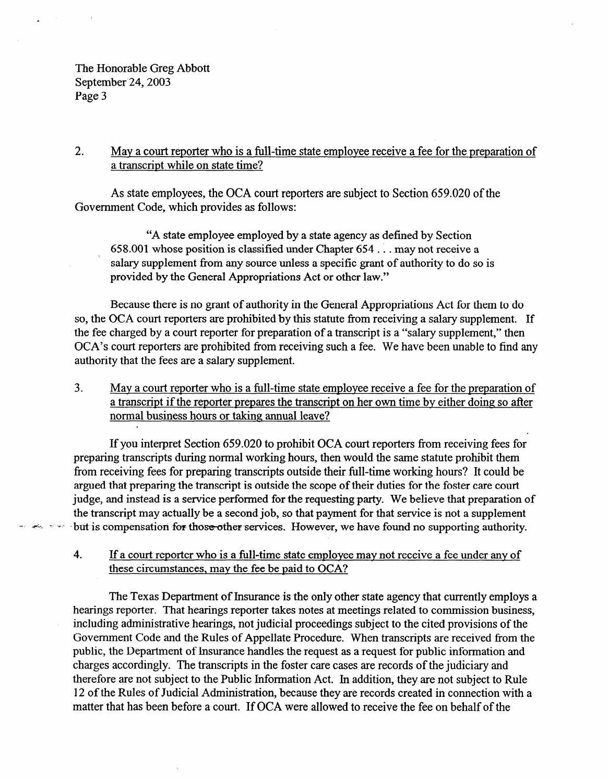The Honorable Greg Abbott September 24, 2003 Page 3

## 2. Mav a court reporter who is a full-time state employee receive a fee for the preparation of a transcript while on state time?

As state employees, the OCA court reporters are subject to Section 659.020 of the Government Code, which provides as follows:

"A state employee employed by a state agency as defined by Section 658.001 whose position is classified under Chapter 654 . . . may not receive a salary supplement from any source unless a specific grant of authority to do so is provided by the General Appropriations Act or other law."

Because there is no grant of authority in the General Appropriations Act for them to do so, the OCA court reporters are prohibited by this statute from receiving a salary supplement. If the fee charged by a court reporter for preparation of a transcript is a "salary supplement," then OCA's court reporters are prohibited from receiving such a fee. We have been unable to find any authority that the fees are a salary supplement.

3. Mav a court reporter who is a full-time state employee receive a fee for the preparation of a transcript if the reporter prepares the transcript on her own time by either doing so after normal business hours or taking annual leave?

If you interpret Section 659.020 to prohibit OCA court reporters from receiving fees for preparing transcripts during normal working hours, then would the same statute prohibit them from receiving fees for preparing transcripts outside their full-time working hours? It could be argued that preparing the transcript is outside the scope of their duties for the foster care court judge, and instead is a service performed for the requesting party. We believe that preparation of the transcript may actually be a second job, so that payment for that service is not a supplement but is compensation for those other services. However, we have found no supporting authority.

4. If a court reporter who is a full-time state employee may not receive a fee under anv of these circumstances, may the fee be paid to OCA?

The Texas Department of Insurance is the only other state agency that currently employs a hearings reporter. That hearings reporter takes notes at meetings related to commission business, including administrative hearings, not judicial proceedings subject to the cited provisions of the Government Code and the Rules of Appellate Procedure. When transcripts are received from the public, the Department of Insurance handles the request as a request for public information and charges accordingly. The transcripts in the foster care cases are records of the judiciary and therefore are not subject to the Public Information Act. In addition, they are not subject to Rule 12 of the Rules of Judicial Administration, because they are records created in connection with a matter that has been before a court. If OCA were allowed to receive the fee on behalf of the